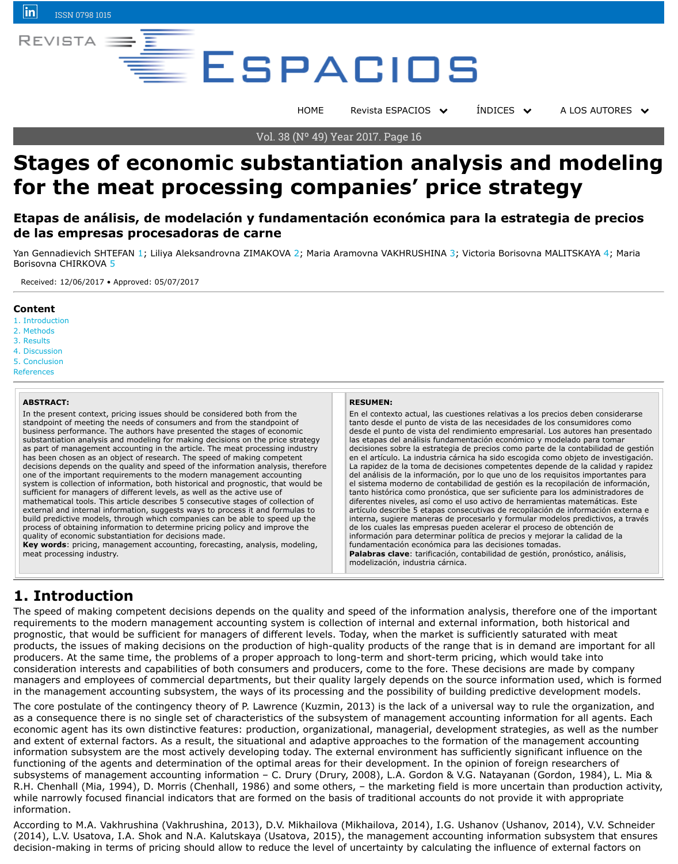- 2. Methods
- 3. [Resu](https://www.linkedin.com/company/revista-espacios)lts
- 4. Discussion
- 5. Conclusion

References

#### **ABSTRACT:**

In the present context, pricing issues should be considered both from the standpoint of meeting the needs of consumers and from the standpoint of business performance. The authors have presented the stages of economic substantiation analysis and modeling for making decisions on the pric[e strategy](file:///Archivos/espacios2017/index.html) as part of management accounting in the article. The meat processing industry has been chosen as an object of research. The speed of making competent decisions depends on the quality and speed of the information analysis, therefore one of the important requirements to the modern management accounting system is collection of information, both historical and prognostic, that would be sufficient for managers of different levels, as well as the active use of mathematical tools. This article describes 5 consecutive stages of collection of external and internal information, suggests ways to process it and formulas to build predictive models, through which companies can be able to speed up the process of obtaining information to determine pricing policy and improve the quality of economic substantiation for decisions made.

**Key words**: pricing, management accounting, forecasting, analysis, modeling, meat processing industry.

#### **RESUMEN:**

En el contexto a tanto desde el pi desde el punto d las etapas del an decisiones sobre en el artículo. La La rapidez de la toma de del análisis de la el sistema moderno tanto histórica como pronostica diferentes nivele artículo describe interna, sugiere de los cuales las información para fundamentación **Palabras clave:** modelización, ind

### **1. Introduct[io](#page-8-0)n**

The speed of making competent decisions depends on the quality and speed of the i requirements to the modern management accounting system is collection of internal prognostic, that would be sufficient for managers of different levels. Today, when the [products, th](#page-0-0)e issues of making decisions on the production of high-quality products [producer](#page-1-0)s. At the same time, the problems of a proper approach to long-term and s [consider](#page-1-1)ation interests and capabilities of both consumers and producers, come to the fore. [managers](#page-5-0) and employees of commercial departments, but their quality largely depe [in the man](#page-7-0)agement accounting subsystem, the ways of its processing and the possi

[The core](#page-7-1) postulate of the contingency theory of P. Lawrence (Kuzmin, 2013) is the lack as a consequence there is no single set of characteristics of the subsystem of management accounting information economic agent has its own distinctive features: production, organizational, manage and extent of external factors. As a result, the situational and adaptive approaches information subsystem are the most actively developing today. The external environ functioning of the agents and determination of the optimal areas for their developm subsystems of management accounting information – C. Drury (Drury, 2008), L.A. Gordon & Gordon & Gordon & Gordon & G R.H. Chenhall (Mia, 1994), D. Morris (Chenhall, 1986) and some others, - the mark while narrowly focused financial indicators that are formed on the basis of traditional information.

<span id="page-0-0"></span>According to M.A. Vakhrushina (Vakhrushina, 2013), D.V. Mikhailova (Mikhailova, 20 (2014), L.V. Usatova, I.A. Shok and N.A. Kalutskaya (Usatova, 2015), the managem decision-making in terms of pricing should allow to reduce the level of uncertainty b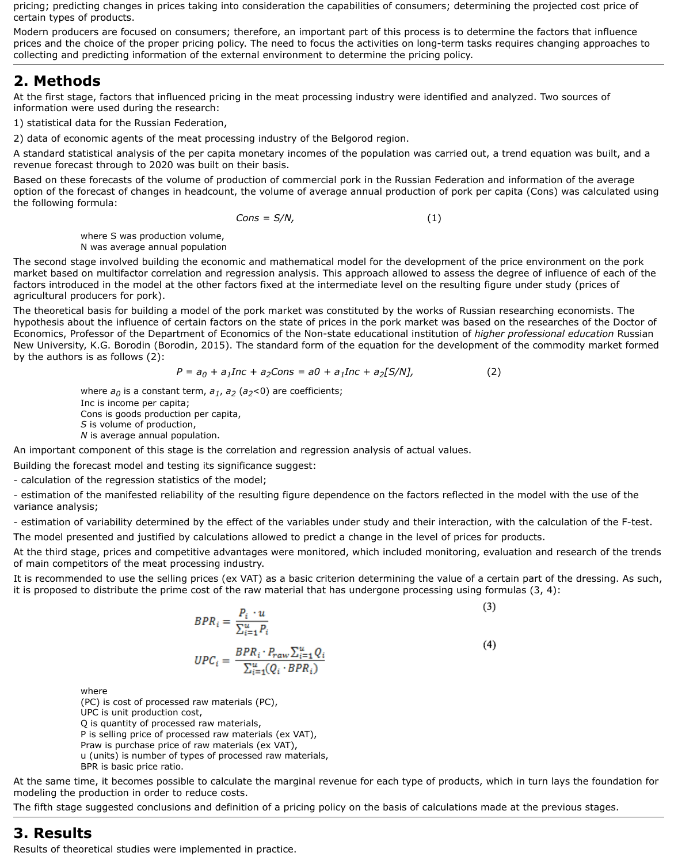pricing; predicting changes in prices taking into consideration the capabilities of consumers; determining the projected cost price of certain types of products.

Modern producers are focused on consumers; therefore, an important part of this process is to determine the factors that influence prices and the choice of the proper pricing policy. The need to focus the activities on long-term tasks requires changing approaches to collecting and predicting information of the external environment to determine the pricing policy.

# <span id="page-1-0"></span>**2. Methods**

At the first stage, factors that influenced pricing in the meat processing industry were identified and analyzed. Two sources of information were used during the research:

1) statistical data for the Russian Federation,

2) data of economic agents of the meat processing industry of the Belgorod region.

A standard statistical analysis of the per capita monetary incomes of the population was carried out, a trend equation was built, and a revenue forecast through to 2020 was built on their basis.

Based on these forecasts of the volume of production of commercial pork in the Russian Federation and information of the average option of the forecast of changes in headcount, the volume of average annual production of pork per capita (Cons) was calculated using the following formula:

where  $a_0$  is a constant term,  $a_1$ ,  $a_2$  ( $a_2$ <0) are coefficients; Inc is income per capita; Cons is goods production per capita, *S* is volume of production, *N* is average annual population.

$$
Cons = S/N, \tag{1}
$$

where S was production volume, N was average annual population

The second stage involved building the economic and mathematical model for the development of the price environment on the pork market based on multifactor correlation and regression analysis. This approach allowed to assess the degree of influence of each of the factors introduced in the model at the other factors fixed at the intermediate level on the resulting figure under study (prices of agricultural producers for pork).

The theoretical basis for building a model of the pork market was constituted by the works of Russian researching economists. The hypothesis about the influence of certain factors on the state of prices in the pork market was based on the researches of the Doctor of Economics, Professor of the Department of Economics of the Non-state educational institution of *higher professional education* Russian New University, K.G. Borodin (Borodin, 2015). The standard form of the equation for the development of the commodity market formed by the authors is as follows (2):

$$
P = a_0 + a_1 I n c + a_2 C n s = a0 + a_1 I n c + a_2 [S/N],
$$
 (2)

An important component of this stage is the correlation and regression analysis of actual values.

Building the forecast model and testing its significance suggest:

- calculation of the regression statistics of the model;

- estimation of the manifested reliability of the resulting figure dependence on the factors reflected in the model with the use of the variance analysis;

- estimation of variability determined by the effect of the variables under study and their interaction, with the calculation of the F-test.

The model presented and justified by calculations allowed to predict a change in the level of prices for products.

At the third stage, prices and competitive advantages were monitored, which included monitoring, evaluation and research of the trends of main competitors of the meat processing industry.

It is recommended to use the selling prices (ex VAT) as a basic criterion determining the value of a certain part of the dressing. As such, it is proposed to distribute the prime cost of the raw material that has undergone processing using formulas (3, 4):

 $(4)$ 

 $BPR_i = \frac{P_i \cdot u}{\sum_{i=1}^u P_i}$  $\textit{UPC}_i = \frac{\textit{BPR}_i \cdot P_{raw} \sum_{i=1}^{u} Q_i}{\sum_{i=1}^{u} (Q_i \cdot \textit{BPR}_i)}$ 

where

(PC) is cost of processed raw materials (PC), UPC is unit production cost, Q is quantity of processed raw materials, P is selling price of processed raw materials (ex VAT), Praw is purchase price of raw materials (ex VAT), u (units) is number of types of processed raw materials, BPR is basic price ratio.

At the same time, it becomes possible to calculate the marginal revenue for each type of products, which in turn lays the foundation for modeling the production in order to reduce costs.

The fifth stage suggested conclusions and definition of a pricing policy on the basis of calculations made at the previous stages.

#### <span id="page-1-1"></span>**3. Results**

Results of theoretical studies were implemented in practice.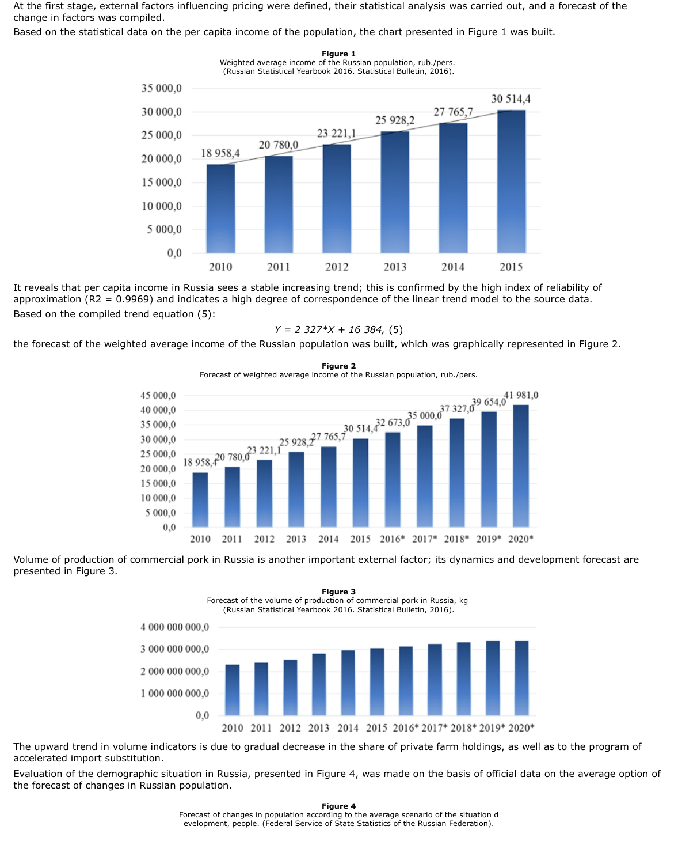At the first stage, external factors influencing pricing were defined, their statistical analysis was carried out, and a forecast of the change in factors was compiled.

Based on the statistical data on the per capita income of the population, the chart presented in Figure 1 was built.

**Figure 1**



It reveals that per capita income in Russia sees a stable increasing trend; this is confirmed by the high index of reliability of approximation (R2 = 0.9969) and indicates a high degree of correspondence of the linear trend model to the source data. Based on the compiled trend equation (5):

$$
Y = 2\,327^*X + 16\,384, \,(5)
$$

the forecast of the weighted average income of the Russian population was built, which was graphically represented in Figure 2.

**Figure 2**



Volume of production of commercial pork in Russia is another important external factor; its dynamics and development forecast are presented in Figure 3.

(Russian Statistical Yearbook 2016. Statistical Bulletin, 2016).



The upward trend in volume indicators is due to gradual decrease in the share of private farm holdings, as well as to the program of accelerated import substitution.

Evaluation of the demographic situation in Russia, presented in Figure 4, was made on the basis of official data on the average option of the forecast of changes in Russian population.

> **Figure 4** Forecast of changes in population according to the average scenario of the situation d evelopment, people. (Federal Service of State Statistics of the Russian Federation).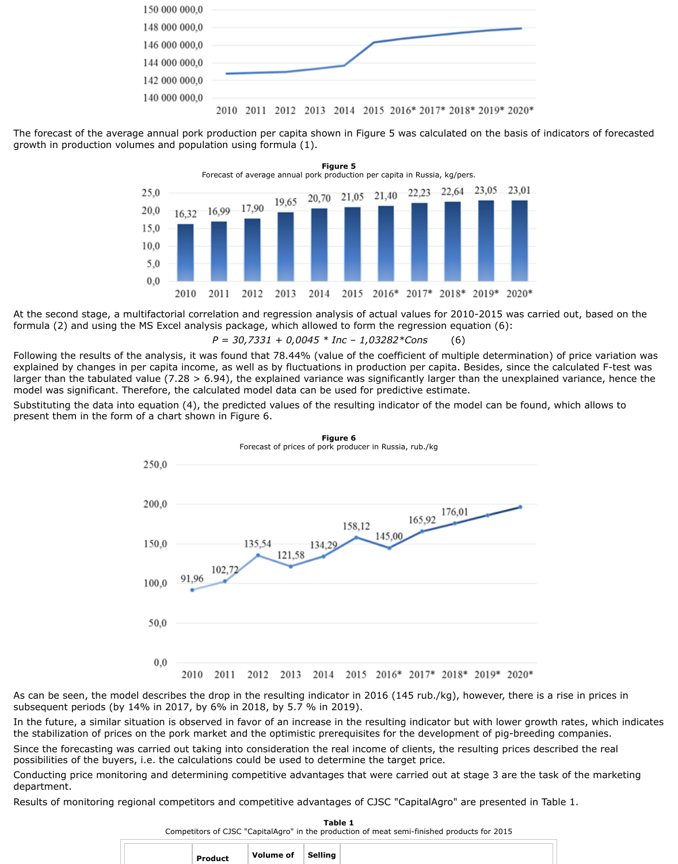

The forecast of the average annual pork production per capita shown in Figure 5 was calculated on the basis of indicators of forecasted growth in production volumes and population using formula (1).



At the second stage, a multifactorial correlation and regression analysis of actual values for 2010-2015 was carried out, based on the formula (2) and using the MS Excel analysis package, which allowed to form the regression equation (6):

*P = 30,7331 + 0,0045 \* Inc – 1,03282\*Cons* (6)

Following the results of the analysis, it was found that 78.44% (value of the coefficient of multiple determination) of price variation was explained by changes in per capita income, as well as by fluctuations in production per capita. Besides, since the calculated F-test was larger than the tabulated value (7.28 > 6.94), the explained variance was significantly larger than the unexplained variance, hence the model was significant. Therefore, the calculated model data can be used for predictive estimate.

Substituting the data into equation (4), the predicted values of the resulting indicator of the model can be found, which allows to present them in the form of a chart shown in Figure 6.



**Figure 6**

#### $0,0$ 2010 2011 2012 2013 2014 2015 2016\* 2017\* 2018\* 2019\* 2020\*

As can be seen, the model describes the drop in the resulting indicator in 2016 (145 rub./kg), however, there is a rise in prices in subsequent periods (by 14% in 2017, by 6% in 2018, by 5.7 % in 2019).

In the future, a similar situation is observed in favor of an increase in the resulting indicator but with lower growth rates, which indicates the stabilization of prices on the pork market and the optimistic prerequisites for the development of pig-breeding companies.

Since the forecasting was carried out taking into consideration the real income of clients, the resulting prices described the real possibilities of the buyers, i.e. the calculations could be used to determine the target price.

Conducting price monitoring and determining competitive advantages that were carried out at stage 3 are the task of the marketing department.

Results of monitoring regional competitors and competitive advantages of CJSC "CapitalAgro" are presented in Table 1.

50,0

**Table 1** Competitors of CJSC "CapitalAgro" in the production of meat semi-finished products for 2015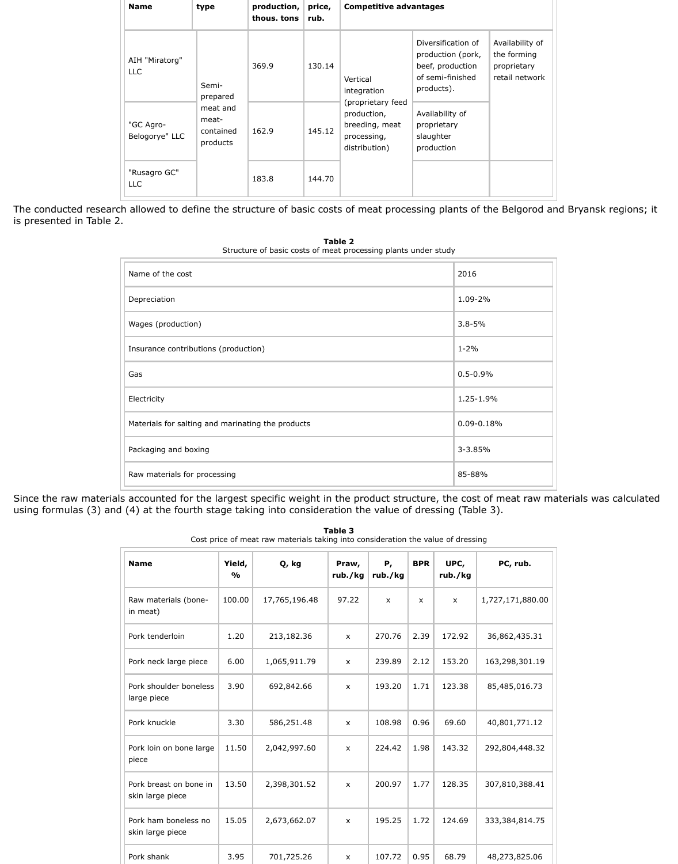| <b>Name</b>                  | type                                       | production,<br>thous. tons | price,<br>rub. | <b>Competitive advantages</b>                                                      |                                                                                               |                                                                 |  |  |
|------------------------------|--------------------------------------------|----------------------------|----------------|------------------------------------------------------------------------------------|-----------------------------------------------------------------------------------------------|-----------------------------------------------------------------|--|--|
| AIH "Miratorg"<br><b>LLC</b> | Semi-<br>prepared                          | 369.9                      | 130.14         | Vertical<br>integration                                                            | Diversification of<br>production (pork,<br>beef, production<br>of semi-finished<br>products). | Availability of<br>the forming<br>proprietary<br>retail network |  |  |
| "GC Agro-<br>Belogorye" LLC  | meat and<br>meat-<br>contained<br>products | 162.9                      | 145.12         | (proprietary feed<br>production,<br>breeding, meat<br>processing,<br>distribution) | Availability of<br>proprietary<br>slaughter<br>production                                     |                                                                 |  |  |
| "Rusagro GC"<br><b>LLC</b>   |                                            | 183.8                      | 144.70         |                                                                                    |                                                                                               |                                                                 |  |  |

The conducted research allowed to define the structure of basic costs of meat processing plants of the Belgorod and Bryansk regions; it is presented in Table 2.

| 2016           |
|----------------|
| 1.09-2%        |
| $3.8 - 5%$     |
| $1 - 2%$       |
| $0.5 - 0.9%$   |
| 1.25-1.9%      |
| $0.09 - 0.18%$ |
| $3 - 3.85%$    |
| 85-88%         |
|                |

**Table 2** Structure of basic costs of meat processing plants under study

Since the raw materials accounted for the largest specific weight in the product structure, the cost of meat raw materials was calculated using formulas (3) and (4) at the fourth stage taking into consideration the value of dressing (Table 3).

| <b>Name</b>          | Yield,<br>$\frac{1}{2}$ | Q, kg         | Praw, | Р,<br>rub./kg $ $ rub./kg | <b>BPR</b> | UPC,<br>rub./kg | PC, rub.         |
|----------------------|-------------------------|---------------|-------|---------------------------|------------|-----------------|------------------|
| Raw materials (bone- | 100.00                  | 17,765,196.48 | 97.22 | X                         | X          | X               | 1,727,171,880.00 |

**Table 3** Cost price of meat raw materials taking into consideration the value of dressing

| in meat)                                   |       |              |                |        |      |        |                |
|--------------------------------------------|-------|--------------|----------------|--------|------|--------|----------------|
| Pork tenderloin                            | 1.20  | 213,182.36   | $\mathsf{x}$   | 270.76 | 2.39 | 172.92 | 36,862,435.31  |
| Pork neck large piece                      | 6.00  | 1,065,911.79 | $\pmb{\chi}$   | 239.89 | 2.12 | 153.20 | 163,298,301.19 |
| Pork shoulder boneless<br>large piece      | 3.90  | 692,842.66   | $\mathsf{x}$   | 193.20 | 1.71 | 123.38 | 85,485,016.73  |
| Pork knuckle                               | 3.30  | 586,251.48   | $\mathsf{x}$   | 108.98 | 0.96 | 69.60  | 40,801,771.12  |
| Pork loin on bone large<br>piece           | 11.50 | 2,042,997.60 | $\mathsf{x}$   | 224.42 | 1.98 | 143.32 | 292,804,448.32 |
| Pork breast on bone in<br>skin large piece | 13.50 | 2,398,301.52 | $\pmb{\chi}$   | 200.97 | 1.77 | 128.35 | 307,810,388.41 |
| Pork ham boneless no<br>skin large piece   | 15.05 | 2,673,662.07 | $\mathsf{x}$   | 195.25 | 1.72 | 124.69 | 333,384,814.75 |
| Pork shank                                 | 3.95  | 701,725.26   | $\pmb{\times}$ | 107.72 | 0.95 | 68.79  | 48,273,825.06  |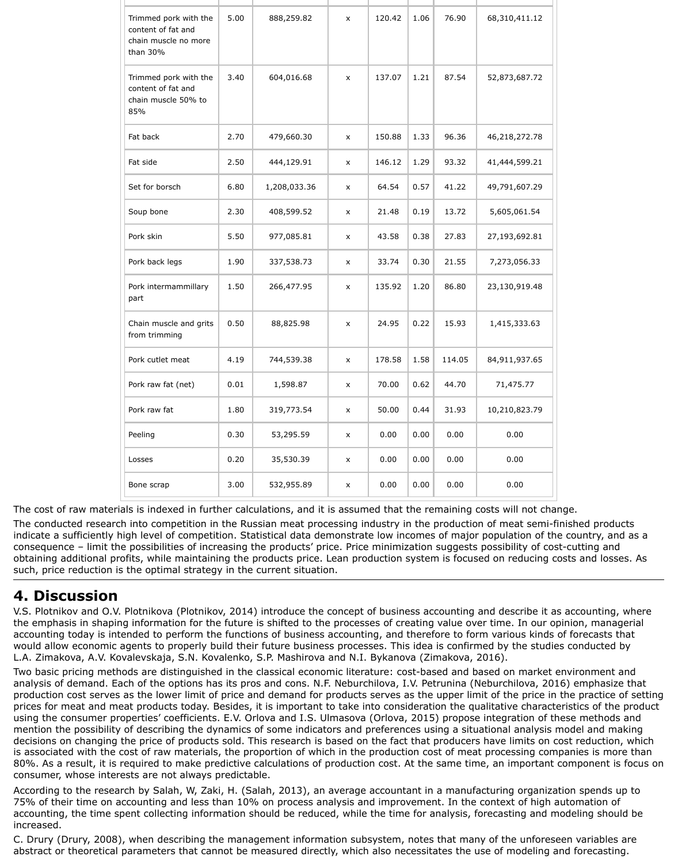| Trimmed pork with the<br>content of fat and<br>chain muscle no more<br>than 30% | 5.00 | 888,259.82   | $\mathsf{X}$       | 120.42 | 1.06 | 76.90  | 68,310,411.12 |
|---------------------------------------------------------------------------------|------|--------------|--------------------|--------|------|--------|---------------|
| Trimmed pork with the<br>content of fat and<br>chain muscle 50% to<br>85%       | 3.40 | 604,016.68   | $\pmb{\mathsf{X}}$ | 137.07 | 1.21 | 87.54  | 52,873,687.72 |
| Fat back                                                                        | 2.70 | 479,660.30   | $\mathsf{X}$       | 150.88 | 1.33 | 96.36  | 46,218,272.78 |
| Fat side                                                                        | 2.50 | 444,129.91   | $\mathsf{X}$       | 146.12 | 1.29 | 93.32  | 41,444,599.21 |
| Set for borsch                                                                  | 6.80 | 1,208,033.36 | $\mathsf{X}$       | 64.54  | 0.57 | 41.22  | 49,791,607.29 |
| Soup bone                                                                       | 2.30 | 408,599.52   | $\mathsf{X}$       | 21.48  | 0.19 | 13.72  | 5,605,061.54  |
| Pork skin                                                                       | 5.50 | 977,085.81   | $\mathsf{X}$       | 43.58  | 0.38 | 27.83  | 27,193,692.81 |
| Pork back legs                                                                  | 1.90 | 337,538.73   | $\mathsf{x}$       | 33.74  | 0.30 | 21.55  | 7,273,056.33  |
| Pork intermammillary<br>part                                                    | 1.50 | 266,477.95   | $\mathsf{x}$       | 135.92 | 1.20 | 86.80  | 23,130,919.48 |
| Chain muscle and grits<br>from trimming                                         | 0.50 | 88,825.98    | $\pmb{\mathsf{X}}$ | 24.95  | 0.22 | 15.93  | 1,415,333.63  |
| Pork cutlet meat                                                                | 4.19 | 744,539.38   | $\pmb{\mathsf{X}}$ | 178.58 | 1.58 | 114.05 | 84,911,937.65 |
| Pork raw fat (net)                                                              | 0.01 | 1,598.87     | $\pmb{\mathsf{X}}$ | 70.00  | 0.62 | 44.70  | 71,475.77     |
| Pork raw fat                                                                    | 1.80 | 319,773.54   | $\mathsf{X}$       | 50.00  | 0.44 | 31.93  | 10,210,823.79 |
| Peeling                                                                         | 0.30 | 53,295.59    | $\pmb{\mathsf{X}}$ | 0.00   | 0.00 | 0.00   | 0.00          |
| Losses                                                                          | 0.20 | 35,530.39    | $\pmb{\mathsf{X}}$ | 0.00   | 0.00 | 0.00   | 0.00          |
| Bone scrap                                                                      | 3.00 | 532,955.89   | $\pmb{\mathsf{X}}$ | 0.00   | 0.00 | 0.00   | 0.00          |

The cost of raw materials is indexed in further calculations, and it is assumed that the remaining costs will not change.

The conducted research into competition in the Russian meat processing industry in the production of meat semi-finished products indicate a sufficiently high level of competition. Statistical data demonstrate low incomes of major population of the country, and as a consequence – limit the possibilities of increasing the products' price. Price minimization suggests possibility of cost-cutting and obtaining additional profits, while maintaining the products price. Lean production system is focused on reducing costs and losses. As such, price reduction is the optimal strategy in the current situation.

# <span id="page-5-0"></span>**4. Discussion**

V.S. Plotnikov and O.V. Plotnikova (Plotnikov, 2014) introduce the concept of business accounting and describe it as accounting, where the emphasis in shaping information for the future is shifted to the processes of creating value over time. In our opinion, managerial accounting today is intended to perform the functions of business accounting, and therefore to form various kinds of forecasts that would allow economic agents to properly build their future business processes. This idea is confirmed by the studies conducted by L.A. Zimakova, A.V. Kovalevskaja, S.N. Kovalenko, S.P. Mashirova and N.I. Bykanova (Zimakova, 2016).

Two basic pricing methods are distinguished in the classical economic literature: cost-based and based on market environment and analysis of demand. Each of the options has its pros and cons. N.F. Neburchilova, I.V. Petrunina (Neburchilova, 2016) emphasize that production cost serves as the lower limit of price and demand for products serves as the upper limit of the price in the practice of setting prices for meat and meat products today. Besides, it is important to take into consideration the qualitative characteristics of the product using the consumer properties' coefficients. E.V. Orlova and I.S. Ulmasova (Orlova, 2015) propose integration of these methods and mention the possibility of describing the dynamics of some indicators and preferences using a situational analysis model and making decisions on changing the price of products sold. This research is based on the fact that producers have limits on cost reduction, which is associated with the cost of raw materials, the proportion of which in the production cost of meat processing companies is more than 80%. As a result, it is required to make predictive calculations of production cost. At the same time, an important component is focus on consumer, whose interests are not always predictable.

According to the research by Salah, W, Zaki, H. (Salah, 2013), an average accountant in a manufacturing organization spends up to 75% of their time on accounting and less than 10% on process analysis and improvement. In the context of high automation of accounting, the time spent collecting information should be reduced, while the time for analysis, forecasting and modeling should be increased.

C. Drury (Drury, 2008), when describing the management information subsystem, notes that many of the unforeseen variables are abstract or theoretical parameters that cannot be measured directly, which also necessitates the use of modeling and forecasting.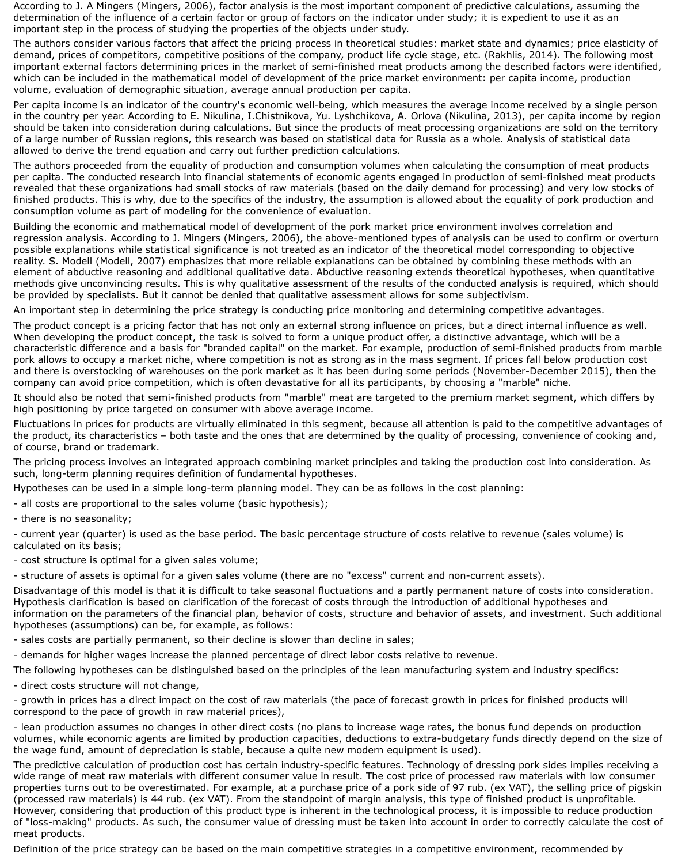According to J. A Mingers (Mingers, 2006), factor analysis is the most important component of predictive calculations, assuming the determination of the influence of a certain factor or group of factors on the indicator under study; it is expedient to use it as an important step in the process of studying the properties of the objects under study.

The authors consider various factors that affect the pricing process in theoretical studies: market state and dynamics; price elasticity of demand, prices of competitors, competitive positions of the company, product life cycle stage, etc. (Rakhlis, 2014). The following most important external factors determining prices in the market of semi-finished meat products among the described factors were identified, which can be included in the mathematical model of development of the price market environment: per capita income, production volume, evaluation of demographic situation, average annual production per capita.

Per capita income is an indicator of the country's economic well-being, which measures the average income received by a single person in the country per year. According to Е. Nikulina, I.Chistnikova, Yu. Lyshchikova, A. Orlova (Nikulina, 2013), per capita income by region should be taken into consideration during calculations. But since the products of meat processing organizations are sold on the territory of a large number of Russian regions, this research was based on statistical data for Russia as a whole. Analysis of statistical data allowed to derive the trend equation and carry out further prediction calculations.

The authors proceeded from the equality of production and consumption volumes when calculating the consumption of meat products per capita. The conducted research into financial statements of economic agents engaged in production of semi-finished meat products revealed that these organizations had small stocks of raw materials (based on the daily demand for processing) and very low stocks of finished products. This is why, due to the specifics of the industry, the assumption is allowed about the equality of pork production and consumption volume as part of modeling for the convenience of evaluation.

Building the economic and mathematical model of development of the pork market price environment involves correlation and regression analysis. According to J. Mingers (Mingers, 2006), the above-mentioned types of analysis can be used to confirm or overturn possible explanations while statistical significance is not treated as an indicator of the theoretical model corresponding to objective reality. S. Modell (Modell, 2007) emphasizes that more reliable explanations can be obtained by combining these methods with an element of abductive reasoning and additional qualitative data. Abductive reasoning extends theoretical hypotheses, when quantitative methods give unconvincing results. This is why qualitative assessment of the results of the conducted analysis is required, which should be provided by specialists. But it cannot be denied that qualitative assessment allows for some subjectivism.

An important step in determining the price strategy is conducting price monitoring and determining competitive advantages.

The product concept is a pricing factor that has not only an external strong influence on prices, but a direct internal influence as well. When developing the product concept, the task is solved to form a unique product offer, a distinctive advantage, which will be a characteristic difference and a basis for "branded capital" on the market. For example, production of semi-finished products from marble pork allows to occupy a market niche, where competition is not as strong as in the mass segment. If prices fall below production cost and there is overstocking of warehouses on the pork market as it has been during some periods (November-December 2015), then the company can avoid price competition, which is often devastative for all its participants, by choosing a "marble" niche.

It should also be noted that semi-finished products from "marble" meat are targeted to the premium market segment, which differs by high positioning by price targeted on consumer with above average income.

Fluctuations in prices for products are virtually eliminated in this segment, because all attention is paid to the competitive advantages of the product, its characteristics – both taste and the ones that are determined by the quality of processing, convenience of cooking and, of course, brand or trademark.

The pricing process involves an integrated approach combining market principles and taking the production cost into consideration. As such, long-term planning requires definition of fundamental hypotheses.

Hypotheses can be used in a simple long-term planning model. They can be as follows in the cost planning:

- all costs are proportional to the sales volume (basic hypothesis);
- there is no seasonality;

- current year (quarter) is used as the base period. The basic percentage structure of costs relative to revenue (sales volume) is calculated on its basis;

- cost structure is optimal for a given sales volume;
- structure of assets is optimal for a given sales volume (there are no "excess" current and non-current assets).

Disadvantage of this model is that it is difficult to take seasonal fluctuations and a partly permanent nature of costs into consideration. Hypothesis clarification is based on clarification of the forecast of costs through the introduction of additional hypotheses and information on the parameters of the financial plan, behavior of costs, structure and behavior of assets, and investment. Such additional hypotheses (assumptions) can be, for example, as follows:

- sales costs are partially permanent, so their decline is slower than decline in sales;
- demands for higher wages increase the planned percentage of direct labor costs relative to revenue.

The following hypotheses can be distinguished based on the principles of the lean manufacturing system and industry specifics:

- direct costs structure will not change,
- growth in prices has a direct impact on the cost of raw materials (the pace of forecast growth in prices for finished products will correspond to the pace of growth in raw material prices),
- lean production assumes no changes in other direct costs (no plans to increase wage rates, the bonus fund depends on production volumes, while economic agents are limited by production capacities, deductions to extra-budgetary funds directly depend on the size of the wage fund, amount of depreciation is stable, because a quite new modern equipment is used).

The predictive calculation of production cost has certain industry-specific features. Technology of dressing pork sides implies receiving a wide range of meat raw materials with different consumer value in result. The cost price of processed raw materials with low consumer properties turns out to be overestimated. For example, at a purchase price of a pork side of 97 rub. (ex VAT), the selling price of pigskin (processed raw materials) is 44 rub. (ex VAT). From the standpoint of margin analysis, this type of finished product is unprofitable. However, considering that production of this product type is inherent in the technological process, it is impossible to reduce production of "loss-making" products. As such, the consumer value of dressing must be taken into account in order to correctly calculate the cost of meat products.

Definition of the price strategy can be based on the main competitive strategies in a competitive environment, recommended by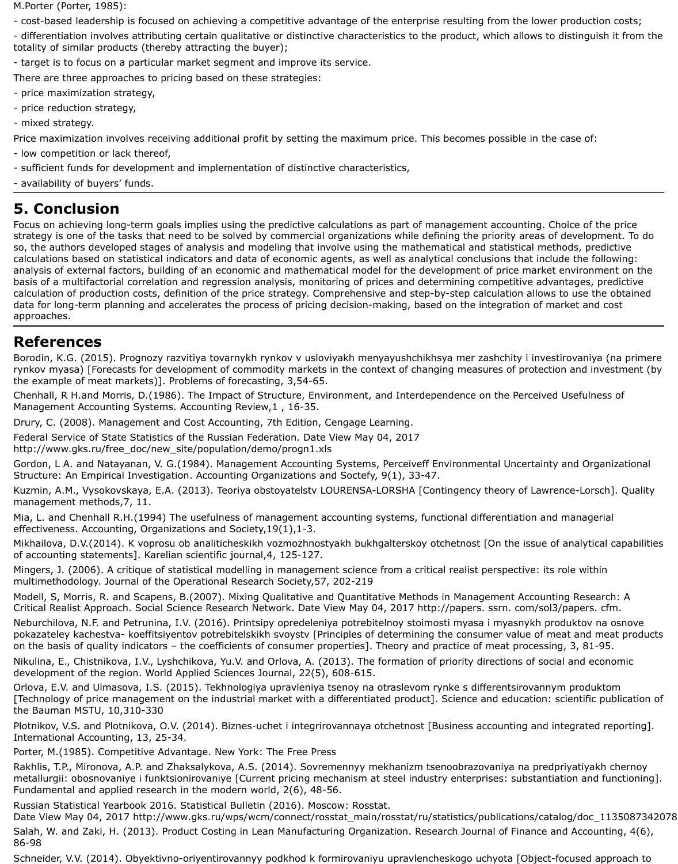M.Porter (Porter, 1985):

- cost-based leadership is focused on achieving a competitive advantage of the enterprise resulting from the lower production costs;

- differentiation involves attributing certain qualitative or distinctive characteristics to the product, which allows to distinguish it from the totality of similar products (thereby attracting the buyer);

- target is to focus on a particular market segment and improve its service.

There are three approaches to pricing based on these strategies:

- price maximization strategy,
- price reduction strategy,
- mixed strategy.

Price maximization involves receiving additional profit by setting the maximum price. This becomes possible in the case of:

- low competition or lack thereof,
- sufficient funds for development and implementation of distinctive characteristics,
- availability of buyers' funds.

# <span id="page-7-0"></span>**5. Conclusion**

Focus on achieving long-term goals implies using the predictive calculations as part of management accounting. Choice of the price strategy is one of the tasks that need to be solved by commercial organizations while defining the priority areas of development. To do so, the authors developed stages of analysis and modeling that involve using the mathematical and statistical methods, predictive calculations based on statistical indicators and data of economic agents, as well as analytical conclusions that include the following: analysis of external factors, building of an economic and mathematical model for the development of price market environment on the basis of a multifactorial correlation and regression analysis, monitoring of prices and determining competitive advantages, predictive calculation of production costs, definition of the price strategy. Comprehensive and step-by-step calculation allows to use the obtained data for long-term planning and accelerates the process of pricing decision-making, based on the integration of market and cost approaches.

## <span id="page-7-1"></span>**References**

Borodin, K.G. (2015). Prognozy razvitiya tovarnykh rynkov v usloviyakh menyayushchikhsya mer zashchity i investirovaniya (na primere rynkov myasa) [Forecasts for development of commodity markets in the context of changing measures of protection and investment (by the example of meat markets)]. Problems of forecasting, 3,54-65.

Chenhall, R H.and Morris, D.(1986). The Impact of Structure, Environment, and Interdependence on the Perceived Usefulness of Management Accounting Systems. Accounting Review,1 , 16-35.

Drury, C. (2008). Management and Cost Accounting, 7th Edition, Cengage Learning.

Federal Service of State Statistics of the Russian Federation. Date View May 04, 2017 http://www.gks.ru/free\_doc/new\_site/population/demo/progn1.xls

Gordon, L A. and Natayanan, V. G.(1984). Management Accounting Systems, Perceiveff Environmental Uncertainty and Organizational Structure: An Empirical Investigation. Accounting Organizations and Soctefy, 9(1), 33-47.

Kuzmin, A.M., Vysokovskaya, E.A. (2013). Teoriya obstoyatelstv LOURENSA-LORSHA [Contingency theory of Lawrence-Lorsch]. Quality management methods,7, 11.

Mia, L. and Chenhall R.H.(1994) The usefulness of management accounting systems, functional differentiation and managerial effectiveness. Accounting, Organizations and Society,19(1),1-3.

Mikhailova, D.V.(2014). K voprosu ob analiticheskikh vozmozhnostyakh bukhgalterskoy otchetnost [On the issue of analytical capabilities of accounting statements]. Karelian scientific journal,4, 125-127.

Mingers, J. (2006). A critique of statistical modelling in management science from a critical realist perspective: its role within multimethodology. Journal of the Operational Research Society,57, 202-219

Modell, S, Morris, R. and Scapens, B.(2007). Mixing Qualitative and Quantitative Methods in Management Accounting Research: A

Critical Realist Approach. Social Science Research Network. Date View May 04, 2017 http://papers. ssrn. com/sol3/papers. cfm.

Neburchilova, N.F. and Petrunina, I.V. (2016). Printsipy opredeleniya potrebitelnoy stoimosti myasa i myasnykh produktov na osnove pokazateley kachestva- koeffitsiyentov potrebitelskikh svoystv [Principles of determining the consumer value of meat and meat products on the basis of quality indicators – the coefficients of consumer properties]. Theory and practice of meat processing, 3, 81-95.

Nikulina, Е., Chistnikova, I.V., Lyshchikova, Yu.V. and Orlova, A. (2013). The formation of priority directions of social and economic development of the region. World Applied Sciences Journal, 22(5), 608-615.

Orlova, E.V. and Ulmasova, I.S. (2015). Tekhnologiya upravleniya tsenoy na otraslevom rynke s differentsirovannym produktom [Technology of price management on the industrial market with a differentiated product]. Science and education: scientific publication of the Bauman MSTU, 10,310-330

Plotnikov, V.S. and Plotnikova, O.V. (2014). Biznes-uchet i integrirovannaya otchetnost [Business accounting and integrated reporting]. International Accounting, 13, 25-34.

Porter, M.(1985). Competitive Advantage. New York: The Free Press

Rakhlis, T.P., Mironova, A.P. and Zhaksalykova, A.S. (2014). Sovremennyy mekhanizm tsenoobrazovaniya na predpriyatiyakh chernoy metallurgii: obosnovaniye i funktsionirovaniye [Current pricing mechanism at steel industry enterprises: substantiation and functioning]. Fundamental and applied research in the modern world, 2(6), 48-56.

Russian Statistical Yearbook 2016. Statistical Bulletin (2016). Moscow: Rosstat.

Date View May 04, 2017 http://www.gks.ru/wps/wcm/connect/rosstat\_main/rosstat/ru/statistics/publications/catalog/doc\_1135087342078

Salah, W. and Zaki, H. (2013). Product Costing in Lean Manufacturing Organization. Research Journal of Finance and Accounting, 4(6), 86-98

Schneider, V.V. (2014). Obyektivno-oriyentirovannyy podkhod k formirovaniyu upravlencheskogo uchyota [Object-focused approach to